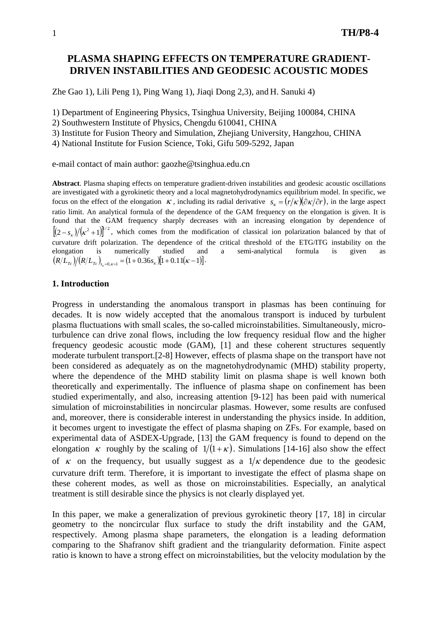# **PLASMA SHAPING EFFECTS ON TEMPERATURE GRADIENT-DRIVEN INSTABILITIES AND GEODESIC ACOUSTIC MODES**

Zhe Gao 1), Lili Peng 1), Ping Wang 1), Jiaqi Dong 2,3), and H. Sanuki 4)

1) Department of Engineering Physics, Tsinghua University, Beijing 100084, CHINA

2) Southwestern Institute of Physics, Chengdu 610041, CHINA

3) Institute for Fusion Theory and Simulation, Zhejiang University, Hangzhou, CHINA

4) National Institute for Fusion Science, Toki, Gifu 509-5292, Japan

e-mail contact of main author: gaozhe@tsinghua.edu.cn

**Abstract**. Plasma shaping effects on temperature gradient-driven instabilities and geodesic acoustic oscillations are investigated with a gyrokinetic theory and a local magnetohydrodynamics equilibrium model. In specific, we focus on the effect of the elongation  $\kappa$ , including its radial derivative  $s_{\kappa} = (r/\kappa)(\partial \kappa/\partial r)$ , in the large aspect ratio limit. An analytical formula of the dependence of the GAM frequency on the elongation is given. It is found that the GAM frequency sharply decreases with an increasing elongation by dependence of  $[(2-s<sub>\kappa</sub>)/(k<sup>2</sup>+1)]^{1/2}$ , which comes from the modification of classical ion polarization balanced by that of curvature drift polarization. The dependence of the critical threshold of the ETG/ITG instability on the elongation is numerically studied and a semi-analytical formula is given as  $(R/\tilde{L}_{T_c})/(R/L_{T_c})_{s_x=0,\kappa=1} = (1+0.36s_{\kappa})[1+0.11(\kappa-1)].$ 

### **1. Introduction**

Progress in understanding the anomalous transport in plasmas has been continuing for decades. It is now widely accepted that the anomalous transport is induced by turbulent plasma fluctuations with small scales, the so-called microinstabilities. Simultaneously, microturbulence can drive zonal flows, including the low frequency residual flow and the higher frequency geodesic acoustic mode (GAM), [1] and these coherent structures sequently moderate turbulent transport.[2-8] However, effects of plasma shape on the transport have not been considered as adequately as on the magnetohydrodynamic (MHD) stability property, where the dependence of the MHD stability limit on plasma shape is well known both theoretically and experimentally. The influence of plasma shape on confinement has been studied experimentally, and also, increasing attention [9-12] has been paid with numerical simulation of microinstabilities in noncircular plasmas. However, some results are confused and, moreover, there is considerable interest in understanding the physics inside. In addition, it becomes urgent to investigate the effect of plasma shaping on ZFs. For example, based on experimental data of ASDEX-Upgrade, [13] the GAM frequency is found to depend on the elongation κ roughly by the scaling of  $1/(1+\kappa)$ . Simulations [14-16] also show the effect of  $\kappa$  on the frequency, but usually suggest as a  $1/\kappa$  dependence due to the geodesic curvature drift term. Therefore, it is important to investigate the effect of plasma shape on these coherent modes, as well as those on microinstabilities. Especially, an analytical treatment is still desirable since the physics is not clearly displayed yet.

In this paper, we make a generalization of previous gyrokinetic theory [17, 18] in circular geometry to the noncircular flux surface to study the drift instability and the GAM, respectively. Among plasma shape parameters, the elongation is a leading deformation comparing to the Shafranov shift gradient and the triangularity deformation. Finite aspect ratio is known to have a strong effect on microinstabilities, but the velocity modulation by the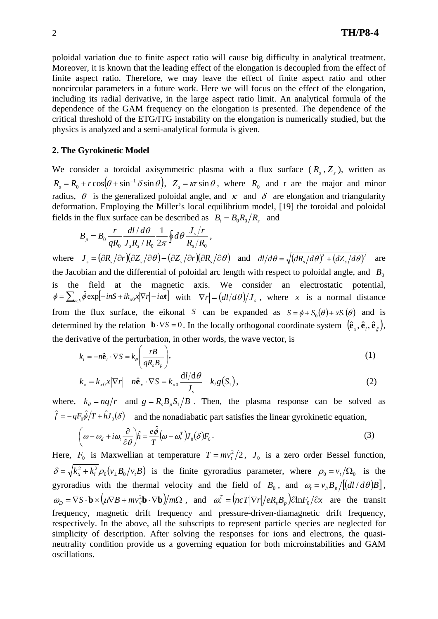poloidal variation due to finite aspect ratio will cause big difficulty in analytical treatment. Moreover, it is known that the leading effect of the elongation is decoupled from the effect of finite aspect ratio. Therefore, we may leave the effect of finite aspect ratio and other noncircular parameters in a future work. Here we will focus on the effect of the elongation, including its radial derivative, in the large aspect ratio limit. An analytical formula of the dependence of the GAM frequency on the elongation is presented. The dependence of the critical threshold of the ETG/ITG instability on the elongation is numerically studied, but the physics is analyzed and a semi-analytical formula is given.

## **2. The Gyrokinetic Model**

We consider a toroidal axisymmetric plasma with a flux surface  $(R_s, Z_s)$ , written as  $R_s = R_0 + r \cos(\theta + \sin^{-1} \theta \sin \theta), Z_s = \kappa r \sin \theta$ , where  $R_0$  and r are the major and minor radius,  $\theta$  is the generalized poloidal angle, and  $\kappa$  and  $\delta$  are elongation and triangularity deformation. Employing the Miller's local equilibrium model, [19] the toroidal and poloidal fields in the flux surface can be described as  $B_t = B_0 R_0 / R_s$  and

$$
B_p = B_0 \frac{r}{qR_0} \frac{dl/d\theta}{J_s R_s/R_0} \frac{1}{2\pi} \oint d\theta \frac{J_s/r}{R_s/R_0},
$$

where  $J_s = (\partial R_s/\partial r)(\partial Z_s/\partial \theta) - (\partial Z_s/\partial r)(\partial R_s/\partial \theta)$  and  $dl/d\theta = \sqrt{(dR_s/d\theta)^2 + (dZ_s/d\theta)^2}$  are the Jacobian and the differential of poloidal arc length with respect to poloidal angle, and  $B_0$ is the field at the magnetic axis. We consider an electrostatic potential,  $\phi = \sum_{\alpha k} \hat{\phi} \exp[-inS + ik_{x0}x|\nabla r| - i\omega t]$  with  $|\nabla r| = (dI/d\theta)/J_s$ , where *x* is a normal distance from the flux surface, the eikonal *S* can be expanded as  $S = \phi + S_0(\theta) + xS_1(\theta)$  and is determined by the relation  $\mathbf{b} \cdot \nabla S = 0$ . In the locally orthogonal coordinate system  $(\hat{\mathbf{e}}_x, \hat{\mathbf{e}}_t, \hat{\mathbf{e}}_z)$ , the derivative of the perturbation, in other words, the wave vector, is

$$
k_{i} = -n\hat{\mathbf{e}}_{i} \cdot \nabla S = k_{\theta} \left( \frac{rB}{qR_{s}B_{p}} \right),
$$
\n(1)

$$
k_x = k_{x0}x |\nabla r| - n\hat{\mathbf{e}}_x \cdot \nabla S = k_{x0} \frac{\mathrm{d}l/\mathrm{d}\theta}{J_s} - k_l g(S_1), \tag{2}
$$

where,  $k_{\theta} = nq/r$  and  $g = R_s B_p S_1 / B$ . Then, the plasma response can be solved as  $\hat{f} = -qF_0\hat{\phi}/T + \hat{h}J_0(\delta)$  and the nonadiabatic part satisfies the linear gyrokinetic equation,

$$
\left(\omega - \omega_d + i\omega_t \frac{\partial}{\partial \theta}\right)\hat{h} = \frac{e\hat{\phi}}{T}\left(\omega - \omega_s^T\right)J_0(\delta)F_0.
$$
\n(3)

Here,  $F_0$  is Maxwellian at temperature  $T = mv_t^2/2$ ,  $J_0$  is a zero order Bessel function,  $\delta = \sqrt{k_x^2 + k_l^2} \rho_0 (v_\perp B_0 / v_i B)$  is the finite gyroradius parameter, where  $\rho_0 = v_t / \Omega_0$  is the gyroradius with the thermal velocity and the field of  $B_0$ , and  $\omega_t = v_{\mu} B_{\nu} / \left[ \frac{d\mathbf{d}}{d\theta} B \right]$ ,  $\omega_{\scriptscriptstyle{D}} = \nabla S \cdot \mathbf{b} \times (\mu \nabla B + mv_{\scriptscriptstyle{F}}^2 \mathbf{b} \cdot \nabla \mathbf{b})/m\Omega$ , and  $\omega_*^T = (ncT|\nabla r|/eR_sB_p)\partial lnF_0/\partial x$  are the transit frequency, magnetic drift frequency and pressure-driven-diamagnetic drift frequency, respectively. In the above, all the subscripts to represent particle species are neglected for simplicity of description. After solving the responses for ions and electrons, the quasineutrality condition provide us a governing equation for both microinstabilities and GAM oscillations.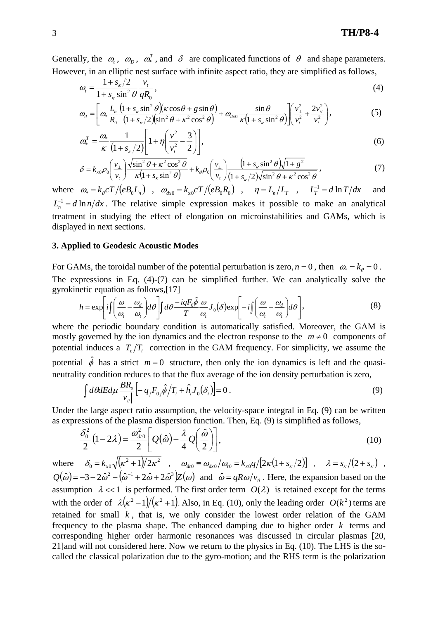Generally, the  $\omega_t$ ,  $\omega_p$ ,  $\omega_s^T$ , and  $\delta$  are complicated functions of  $\theta$  and shape parameters. However, in an elliptic nest surface with infinite aspect ratio, they are simplified as follows,

$$
\omega_t = \frac{1 + s_{\kappa}/2}{1 + s_{\kappa} \sin^2 \theta} \frac{v_t}{qR_0},\tag{4}
$$

$$
\omega_d = \left[ \omega_* \frac{L_{n}}{R_0} \frac{\left(1 + s_{\kappa} \sin^2 \theta\right) \left(\kappa \cos \theta + g \sin \theta\right)}{\left(1 + s_{\kappa}/2\right) \left(\sin^2 \theta + \kappa^2 \cos^2 \theta\right)} + \omega_{\alpha 0} \frac{\sin \theta}{\kappa \left(1 + s_{\kappa} \sin^2 \theta\right)} \right] \left(\frac{v_{\perp}^2}{v_{\perp}^2} + \frac{2v_{\parallel}^2}{v_{\perp}^2}\right),\tag{5}
$$

$$
\omega_*^T = \frac{\omega_*}{\kappa} \frac{1}{\left(1 + s_{\kappa}/2\right)} \left[1 + \eta \left(\frac{v^2}{v_t^2} - \frac{3}{2}\right)\right],\tag{6}
$$

$$
\delta = k_{x0} \rho_0 \left( \frac{v_\perp}{v_t} \right) \frac{\sqrt{\sin^2 \theta + \kappa^2 \cos^2 \theta}}{\kappa \left( 1 + s_\kappa \sin^2 \theta \right)} + k_\theta \rho_0 \left( \frac{v_\perp}{v_t} \right) \frac{\left( 1 + s_\kappa \sin^2 \theta \right) \sqrt{1 + g^2}}{\left( 1 + s_\kappa / 2 \right) \sqrt{\sin^2 \theta + \kappa^2 \cos^2 \theta}},\tag{7}
$$

where  $\omega_* = k_\theta cT/(eB_0 L_n)$ ,  $\omega_{dx0} = k_{x0}cT/(eB_0 R_0)$ ,  $\eta = L_n/L_r$ ,  $L_r^{-1} = d \ln T/dx$  and  $L_n^{-1} = d \ln n/dx$ . The relative simple expression makes it possible to make an analytical treatment in studying the effect of elongation on microinstabilities and GAMs, which is displayed in next sections.

# **3. Applied to Geodesic Acoustic Modes**

For GAMs, the toroidal number of the potential perturbation is zero,  $n = 0$ , then  $\omega_* = k_\theta = 0$ . The expressions in Eq. (4)-(7) can be simplified further. We can analytically solve the gyrokinetic equation as follows,[17]

$$
h = \exp\left[i\int \left(\frac{\omega}{\omega_t} - \frac{\omega_d}{\omega_t}\right) d\theta\right] \int d\theta \frac{-iqF_0\hat{\phi}}{T} \frac{\omega}{\omega_t} J_0(\delta) \exp\left[-i\int \left(\frac{\omega}{\omega_t} - \frac{\omega_d}{\omega_t}\right) d\theta\right],\tag{8}
$$

where the periodic boundary condition is automatically satisfied. Moreover, the GAM is mostly governed by the ion dynamics and the electron response to the  $m \neq 0$  components of potential induces a  $T_e/T_i$  correction in the GAM frequency. For simplicity, we assume the potential  $\hat{\phi}$  has a strict  $m=0$  structure, then only the ion dynamics is left and the quasineutrality condition reduces to that the flux average of the ion density perturbation is zero,

$$
\int d\theta dE d\mu \frac{BR_s}{|v_{ij}|} \left[ -q_j F_{0j} \hat{\phi}/T_i + \hat{h}_i J_0(\delta_i) \right] = 0.
$$
 (9)

Under the large aspect ratio assumption, the velocity-space integral in Eq. (9) can be written as expressions of the plasma dispersion function. Then, Eq. (9) is simplified as follows,

$$
\frac{\delta_0^2}{2}(1-2\lambda) = \frac{\omega_{div}^2}{2} \left[ Q(\hat{\omega}) - \frac{\lambda}{4} Q\left(\frac{\hat{\omega}}{2}\right) \right],\tag{10}
$$

where  $\delta_0 = k_{x0} \sqrt{(\kappa^2 + 1)/2\kappa^2}$  ,  $\omega_{dt0} = \omega_{dx0}/\omega_{t0} = k_{x0}q/[2\kappa(1 + s_{x}/2)]$  ,  $\lambda = s_{x}/(2 + s_{x})$  $Q(\hat{\omega}) = -3 - 2\hat{\omega}^2 - (\hat{\omega}^{-1} + 2\hat{\omega} + 2\hat{\omega}^3)Z(\omega)$  and  $\hat{\omega} = qR\omega/v_i$ . Here, the expansion based on the assumption  $\lambda \ll 1$  is performed. The first order term  $O(\lambda)$  is retained except for the terms with the order of  $\lambda ( \kappa^2 - 1 ) / (\kappa^2 + 1 )$ . Also, in Eq. (10), only the leading order  $O(k^2)$  terms are retained for small  $k$ , that is, we only consider the lowest order relation of the GAM frequency to the plasma shape. The enhanced damping due to higher order *k* terms and corresponding higher order harmonic resonances was discussed in circular plasmas [20, 21]and will not considered here. Now we return to the physics in Eq. (10). The LHS is the socalled the classical polarization due to the gyro-motion; and the RHS term is the polarization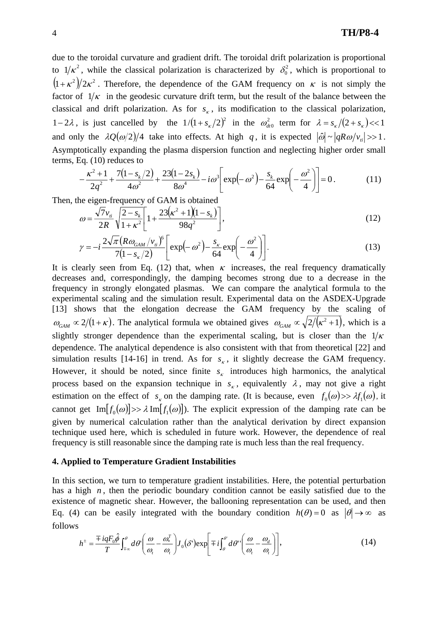due to the toroidal curvature and gradient drift. The toroidal drift polarization is proportional to  $1/\kappa^2$ , while the classical polarization is characterized by  $\delta_0^2$ , which is proportional to  $(1+\kappa^2)/2\kappa^2$ . Therefore, the dependence of the GAM frequency on  $\kappa$  is not simply the factor of  $1/\kappa$  in the geodesic curvature drift term, but the result of the balance between the classical and drift polarization. As for  $s<sub>k</sub>$ , its modification to the classical polarization, 1-2 $\lambda$ , is just cancelled by the  $1/(1+s<sub>\kappa</sub>/2)^2$  in the  $\omega_{dr0}^2$  term for  $\lambda = s_{\kappa}/(2+s_{\kappa}) \ll 1$ and only the  $\lambda Q(\omega/2)/4$  take into effects. At high *q*, it is expected  $|\hat{\omega}| \sim |qR\omega/v_i| >> 1$ . Asymptotically expanding the plasma dispersion function and neglecting higher order small terms, Eq. (10) reduces to

$$
-\frac{\kappa^2+1}{2q^2}+\frac{7(1-s_k/2)}{4\omega^2}+\frac{23(1-2s_k)}{8\omega^4}-i\omega^3\bigg[\exp(-\omega^2)-\frac{s_k}{64}\exp(-\frac{\omega^2}{4})\bigg]=0.
$$
 (11)

Then, the eigen-frequency of GAM is obtained

$$
\omega = \frac{\sqrt{7}v_{ii}}{2R} \sqrt{\frac{2 - s_k}{1 + \kappa^2}} \left[ 1 + \frac{23(\kappa^2 + 1)(1 - s_k)}{98q^2} \right],\tag{12}
$$

$$
\gamma = -i \frac{2\sqrt{\pi} (R \omega_{GAM}/v_{ii})^6}{7(1 - s_{\kappa}/2)} \left[ \exp(-\omega^2) - \frac{s_{\kappa}}{64} \exp(-\frac{\omega^2}{4}) \right].
$$
 (13)

It is clearly seen from Eq. (12) that, when  $\kappa$  increases, the real frequency dramatically decreases and, correspondingly, the damping becomes strong due to a decrease in the frequency in strongly elongated plasmas. We can compare the analytical formula to the experimental scaling and the simulation result. Experimental data on the ASDEX-Upgrade [13] shows that the elongation decrease the GAM frequency by the scaling of  $\omega_{GAM} \propto 2/(1+\kappa)$ . The analytical formula we obtained gives  $\omega_{GAM} \propto \sqrt{2/(\kappa^2+1)}$ , which is a slightly stronger dependence than the experimental scaling, but is closer than the  $1/\kappa$ dependence. The analytical dependence is also consistent with that from theoretical [22] and simulation results [14-16] in trend. As for  $s<sub>k</sub>$ , it slightly decrease the GAM frequency. However, it should be noted, since finite  $s_k$  introduces high harmonics, the analytical process based on the expansion technique in  $s_k$ , equivalently  $\lambda$ , may not give a right estimation on the effect of  $s_k$  on the damping rate. (It is because, even  $f_0(\omega) >> \lambda f_1(\omega)$ , it cannot get  ${\rm Im}[f_0(\omega)] >> \lambda {\rm Im}[f_1(\omega)]$ . The explicit expression of the damping rate can be given by numerical calculation rather than the analytical derivation by direct expansion technique used here, which is scheduled in future work. However, the dependence of real frequency is still reasonable since the damping rate is much less than the real frequency.

#### **4. Applied to Temperature Gradient Instabilities**

In this section, we turn to temperature gradient instabilities. Here, the potential perturbation has a high  $n$ , then the periodic boundary condition cannot be easily satisfied due to the existence of magnetic shear. However, the ballooning representation can be used, and then Eq. (4) can be easily integrated with the boundary condition  $h(\theta) = 0$  as  $|\theta| \rightarrow \infty$  as follows

$$
h^{\pm} = \frac{\mp i q F_0 \hat{\phi}}{T} \int_{\mp \infty}^{\theta} d\theta' \left( \frac{\omega}{\omega_t} - \frac{\omega_s^T}{\omega_t} \right) J_0(\delta') \exp\left[ \mp i \int_{\theta}^{\theta'} d\theta'' \left( \frac{\omega}{\omega_t} - \frac{\omega_d}{\omega_t} \right) \right],
$$
 (14)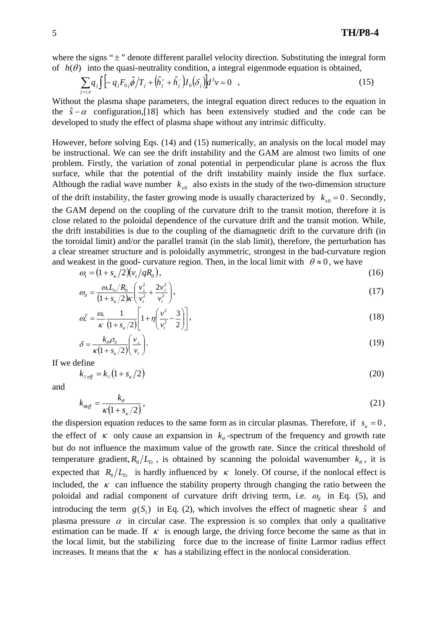where the signs " $\pm$ " denote different parallel velocity direction. Substituting the integral form of  $h(\theta)$  into the quasi-neutrality condition, a integral eigenmode equation is obtained,

$$
\sum_{j=i,e} q_j \int \left[ -q_j F_{0j} \hat{\phi} / T_j + (\hat{h}_j^+ + \hat{h}_j^-) J_0(\delta_j) \right] d^3 v = 0 \quad , \tag{15}
$$

Without the plasma shape parameters, the integral equation direct reduces to the equation in the  $\hat{s} - \alpha$  configuration,[18] which has been extensively studied and the code can be developed to study the effect of plasma shape without any intrinsic difficulty.

However, before solving Eqs. (14) and (15) numerically, an analysis on the local model may be instructional. We can see the drift instability and the GAM are almost two limits of one problem. Firstly, the variation of zonal potential in perpendicular plane is across the flux surface, while that the potential of the drift instability mainly inside the flux surface. Although the radial wave number  $k_{x0}$  also exists in the study of the two-dimension structure of the drift instability, the faster growing mode is usually characterized by  $k_{x0} = 0$ . Secondly, the GAM depend on the coupling of the curvature drift to the transit motion, therefore it is close related to the poloidal dependence of the curvature drift and the transit motion. While, the drift instabilities is due to the coupling of the diamagnetic drift to the curvature drift (in the toroidal limit) and/or the parallel transit (in the slab limit), therefore, the perturbation has a clear streamer structure and is poloidally asymmetric, strongest in the bad-curvature region and weakest in the good- curvature region. Then, in the local limit with  $\theta \approx 0$ , we have

$$
\omega_t = \left(1 + s_{\kappa}/2\right)\left(v_t/qR_0\right),\tag{16}
$$

$$
\omega_d = \frac{\omega_* L_n / R_0}{(1 + s_{\kappa}/2)\kappa} \left(\frac{v_\perp^2}{v_t^2} + \frac{2v_{\frac{\kappa}{\ell}}^2}{v_t^2}\right),\tag{17}
$$

$$
\omega_*^T = \frac{\omega_*}{\kappa} \frac{1}{\left(1 + s_{\kappa}/2\right)} \left[1 + \eta \left(\frac{v^2}{v_t^2} - \frac{3}{2}\right)\right],\tag{18}
$$

$$
\delta = \frac{k_{\theta} \rho_0}{\kappa (1 + s_{\kappa}/2)} \left(\frac{v_{\perp}}{v_t}\right). \tag{19}
$$

If we define

$$
k_{\text{weff}} = k_{\text{w}} \left( 1 + s_{\kappa} / 2 \right) \tag{20}
$$

and

$$
k_{\text{def}} = \frac{k_{\theta}}{\kappa (1 + s_{\kappa}/2)},\tag{21}
$$

the dispersion equation reduces to the same form as in circular plasmas. Therefore, if  $s<sub>r</sub> = 0$ , the effect of  $\kappa$  only cause an expansion in  $k_{\theta}$ -spectrum of the frequency and growth rate but do not influence the maximum value of the growth rate. Since the critical threshold of temperature gradient,  $R_0/L_{T_c}$ , is obtained by scanning the poloidal wavenumber  $k_{\theta}$ , it is expected that  $R_0/L_{T_c}$  is hardly influenced by  $\kappa$  lonely. Of course, if the nonlocal effect is included, the  $\kappa$  can influence the stability property through changing the ratio between the poloidal and radial component of curvature drift driving term, i.e.  $\omega_d$  in Eq. (5), and introducing the term  $g(S_1)$  in Eq. (2), which involves the effect of magnetic shear  $\hat{s}$  and plasma pressure  $\alpha$  in circular case. The expression is so complex that only a qualitative estimation can be made. If  $\kappa$  is enough large, the driving force become the same as that in the local limit, but the stabilizing force due to the increase of finite Larmor radius effect increases. It means that the  $\kappa$  has a stabilizing effect in the nonlocal consideration.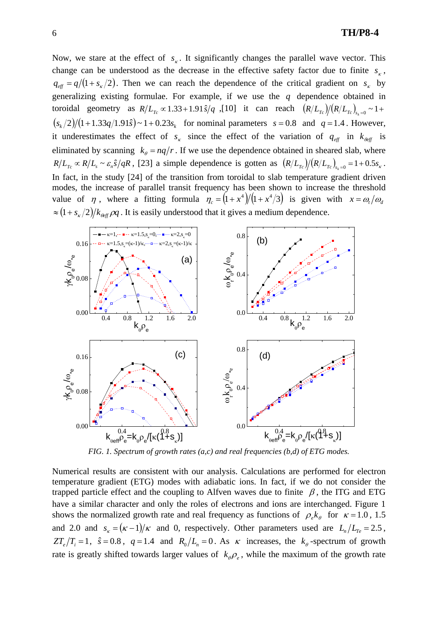Now, we stare at the effect of  $s<sub>k</sub>$ . It significantly changes the parallel wave vector. This change can be understood as the decrease in the effective safety factor due to finite  $s<sub>k</sub>$ ,  $q_{\text{eff}} = q/(1 + s_{\kappa}/2)$ . Then we can reach the dependence of the critical gradient on  $s_{\kappa}$  by generalizing existing formulae. For example, if we use the *q* dependence obtained in toroidal geometry as  $R/L_{T_c} \propto 1.33+1.91 \hat{s}/q$ , [10] it can reach  $(R/L_{T_c})/(R/L_{T_c})_{s_c=0} \sim 1+$  $(s_k/2)/(1+1.33q/1.91\hat{s}) \sim 1+0.23s_k$  for nominal parameters  $s = 0.8$  and  $q = 1.4$ . However, it underestimates the effect of  $s_k$  since the effect of the variation of  $q_{\text{eff}}$  in  $k_{\text{eff}}$  is eliminated by scanning  $k_{\theta} = nq/r$ . If we use the dependence obtained in sheared slab, where  $R/L_{T_c} \propto R/L_s \sim \varepsilon_n \hat{s}/qR$ , [23] a simple dependence is gotten as  $(R/L_{T_c})/(R/L_{T_c})_{s=0} = 1+0.5 s_k$ . In fact, in the study [24] of the transition from toroidal to slab temperature gradient driven modes, the increase of parallel transit frequency has been shown to increase the threshold value of  $\eta$ , where a fitting formula  $\eta_c = (1 + x^4)/(1 + x^4/3)$  is given with  $x = \omega_t/\omega_d$  $\approx (1+s_k/2)/k_{\text{eff}}\rho q$ . It is easily understood that it gives a medium dependence.



*FIG. 1. Spectrum of growth rates (a,c) and real frequencies (b,d) of ETG modes.* 

Numerical results are consistent with our analysis. Calculations are performed for electron temperature gradient (ETG) modes with adiabatic ions. In fact, if we do not consider the trapped particle effect and the coupling to Alfven waves due to finite  $\beta$ , the ITG and ETG have a similar character and only the roles of electrons and ions are interchanged. Figure 1 shows the normalized growth rate and real frequency as functions of  $\rho_e k_\theta$  for  $\kappa = 1.0$ , 1.5 and 2.0 and  $s_k = (\kappa - 1)/\kappa$  and 0, respectively. Other parameters used are  $L_n/L_{Te} = 2.5$ ,  $ZT_e/T_i = 1$ ,  $\hat{s} = 0.8$ ,  $q = 1.4$  and  $R_0/L_i = 0$ . As  $\kappa$  increases, the  $k_\theta$ -spectrum of growth rate is greatly shifted towards larger values of  $k_{\theta} \rho_{e}$ , while the maximum of the growth rate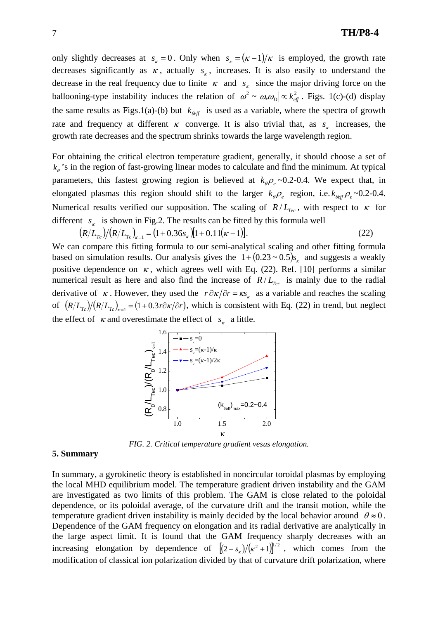only slightly decreases at  $s_k = 0$ . Only when  $s_k = (k-1)/k$  is employed, the growth rate decreases significantly as  $\kappa$ , actually  $s_{\kappa}$ , increases. It is also easily to understand the decrease in the real frequency due to finite  $\kappa$  and  $s_k$  since the major driving force on the ballooning-type instability induces the relation of  $\omega^2 \sim |\omega_* \omega_D| \propto k_{\text{eff}}^2$ . Figs. 1(c)-(d) display the same results as Figs.1(a)-(b) but  $k_{\theta_{eff}}$  is used as a variable, where the spectra of growth rate and frequency at different  $\kappa$  converge. It is also trivial that, as  $s_{\kappa}$  increases, the growth rate decreases and the spectrum shrinks towards the large wavelength region.

For obtaining the critical electron temperature gradient, generally, it should choose a set of  $k_{\theta}$ 's in the region of fast-growing linear modes to calculate and find the minimum. At typical parameters, this fastest growing region is believed at  $k_{\theta} \rho_{e} \sim 0.2$ -0.4. We expect that, in elongated plasmas this region should shift to the larger  $k_{\theta} \rho_e$  region, i.e.  $k_{\theta} \rho_e \sim 0.2{\text -}0.4$ . Numerical results verified our supposition. The scaling of  $R/L_{Tec}$ , with respect to  $\kappa$  for different  $s_k$  is shown in Fig.2. The results can be fitted by this formula well

$$
(R/L_{T_c})/(R/L_{T_c})_{K=1} = (1 + 0.36s_K)[1 + 0.11(K-1)].
$$
\n(22)

We can compare this fitting formula to our semi-analytical scaling and other fitting formula based on simulation results. Our analysis gives the  $1 + (0.23 \sim 0.5) s_{\kappa}$  and suggests a weakly positive dependence on  $\kappa$ , which agrees well with Eq. (22). Ref. [10] performs a similar numerical result as here and also find the increase of  $R/L_{Tec}$  is mainly due to the radial derivative of  $\kappa$ . However, they used the  $r \partial \kappa / \partial r = \kappa s$  as a variable and reaches the scaling of  $(R/L_{T_c})/(R/L_{T_c})_{\kappa=1} = (1+0.3r\partial \kappa/\partial r)$ , which is consistent with Eq. (22) in trend, but neglect the effect of  $\kappa$  and overestimate the effect of  $s_{\kappa}$  a little.



*FIG. 2. Critical temperature gradient vesus elongation.* 

## **5. Summary**

In summary, a gyrokinetic theory is established in noncircular toroidal plasmas by employing the local MHD equilibrium model. The temperature gradient driven instability and the GAM are investigated as two limits of this problem. The GAM is close related to the poloidal dependence, or its poloidal average, of the curvature drift and the transit motion, while the temperature gradient driven instability is mainly decided by the local behavior around  $\theta \approx 0$ . Dependence of the GAM frequency on elongation and its radial derivative are analytically in the large aspect limit. It is found that the GAM frequency sharply decreases with an increasing elongation by dependence of  $[(2-s_{k})/(\kappa^{2}+1)]^{1/2}$ , which comes from the modification of classical ion polarization divided by that of curvature drift polarization, where